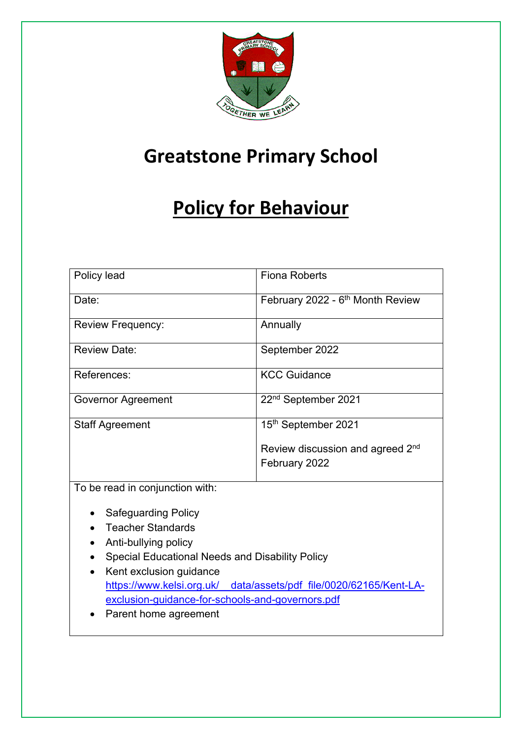

# **Greatstone Primary School**

# **Policy for Behaviour**

| Policy lead                                     | <b>Fiona Roberts</b>                         |
|-------------------------------------------------|----------------------------------------------|
| Date:                                           | February 2022 - 6 <sup>th</sup> Month Review |
| <b>Review Frequency:</b>                        | Annually                                     |
| <b>Review Date:</b>                             | September 2022                               |
| References:                                     | <b>KCC Guidance</b>                          |
| Governor Agreement                              | 22 <sup>nd</sup> September 2021              |
| <b>Staff Agreement</b>                          | 15th September 2021                          |
|                                                 | Review discussion and agreed 2 <sup>nd</sup> |
|                                                 | February 2022                                |
| To be read in conjunction with:                 |                                              |
| <b>Safeguarding Policy</b>                      |                                              |
| <b>Teacher Standards</b>                        |                                              |
| Anti-bullying policy                            |                                              |
| Special Educational Needs and Disability Policy |                                              |
| Kent exclusion guidance                         |                                              |

- https://www.kelsi.org.uk/ data/assets/pdf\_file/0020/62165/Kent-LAexclusion-guidance-for-schools-and-governors.pdf
- Parent home agreement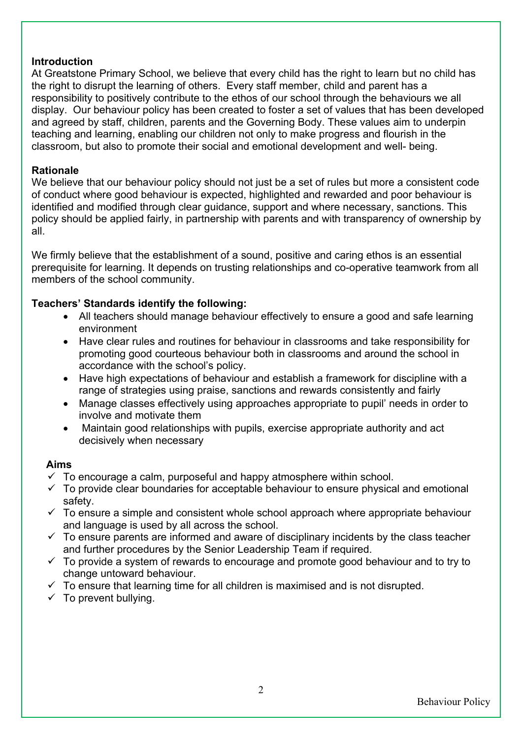#### **Introduction**

At Greatstone Primary School, we believe that every child has the right to learn but no child has the right to disrupt the learning of others. Every staff member, child and parent has a responsibility to positively contribute to the ethos of our school through the behaviours we all display. Our behaviour policy has been created to foster a set of values that has been developed and agreed by staff, children, parents and the Governing Body. These values aim to underpin teaching and learning, enabling our children not only to make progress and flourish in the classroom, but also to promote their social and emotional development and well- being.

## **Rationale**

We believe that our behaviour policy should not just be a set of rules but more a consistent code of conduct where good behaviour is expected, highlighted and rewarded and poor behaviour is identified and modified through clear guidance, support and where necessary, sanctions. This policy should be applied fairly, in partnership with parents and with transparency of ownership by all.

We firmly believe that the establishment of a sound, positive and caring ethos is an essential prerequisite for learning. It depends on trusting relationships and co-operative teamwork from all members of the school community.

## **Teachers' Standards identify the following:**

- All teachers should manage behaviour effectively to ensure a good and safe learning environment
- Have clear rules and routines for behaviour in classrooms and take responsibility for promoting good courteous behaviour both in classrooms and around the school in accordance with the school's policy.
- Have high expectations of behaviour and establish a framework for discipline with a range of strategies using praise, sanctions and rewards consistently and fairly
- Manage classes effectively using approaches appropriate to pupil' needs in order to involve and motivate them
- Maintain good relationships with pupils, exercise appropriate authority and act decisively when necessary

#### **Aims**

- $\checkmark$  To encourage a calm, purposeful and happy atmosphere within school.
- $\checkmark$  To provide clear boundaries for acceptable behaviour to ensure physical and emotional safety.
- $\checkmark$  To ensure a simple and consistent whole school approach where appropriate behaviour and language is used by all across the school.
- $\checkmark$  To ensure parents are informed and aware of disciplinary incidents by the class teacher and further procedures by the Senior Leadership Team if required.
- $\checkmark$  To provide a system of rewards to encourage and promote good behaviour and to try to change untoward behaviour.
- $\checkmark$  To ensure that learning time for all children is maximised and is not disrupted.
- $\checkmark$  To prevent bullying.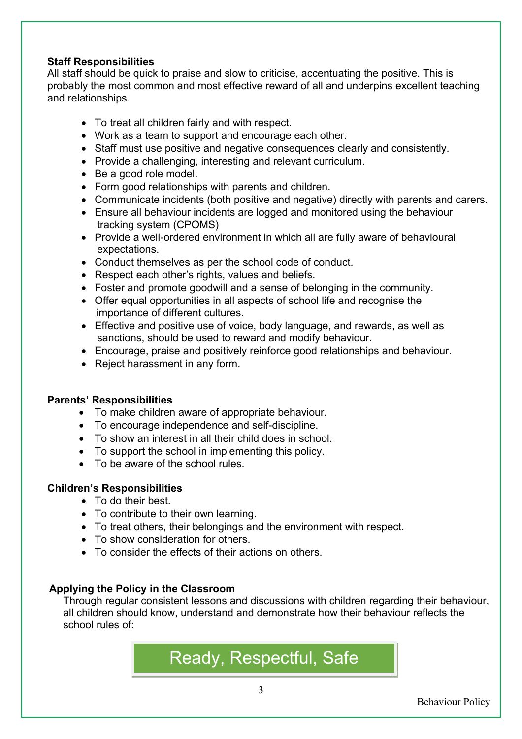## **Staff Responsibilities**

All staff should be quick to praise and slow to criticise, accentuating the positive. This is probably the most common and most effective reward of all and underpins excellent teaching and relationships.

- To treat all children fairly and with respect.
- Work as a team to support and encourage each other.
- Staff must use positive and negative consequences clearly and consistently.
- Provide a challenging, interesting and relevant curriculum.
- Be a good role model.
- Form good relationships with parents and children.
- Communicate incidents (both positive and negative) directly with parents and carers.
- Ensure all behaviour incidents are logged and monitored using the behaviour tracking system (CPOMS)
- Provide a well-ordered environment in which all are fully aware of behavioural expectations.
- Conduct themselves as per the school code of conduct.
- Respect each other's rights, values and beliefs.
- Foster and promote goodwill and a sense of belonging in the community.
- Offer equal opportunities in all aspects of school life and recognise the importance of different cultures.
- Effective and positive use of voice, body language, and rewards, as well as sanctions, should be used to reward and modify behaviour.
- Encourage, praise and positively reinforce good relationships and behaviour.
- Reject harassment in any form.

#### **Parents' Responsibilities**

- To make children aware of appropriate behaviour.
- To encourage independence and self-discipline.
- To show an interest in all their child does in school.
- To support the school in implementing this policy.
- To be aware of the school rules.

# **Children's Responsibilities**

- To do their best.
- To contribute to their own learning.
- To treat others, their belongings and the environment with respect.
- To show consideration for others.
- To consider the effects of their actions on others.

# **Applying the Policy in the Classroom**

Through regular consistent lessons and discussions with children regarding their behaviour, all children should know, understand and demonstrate how their behaviour reflects the school rules of:

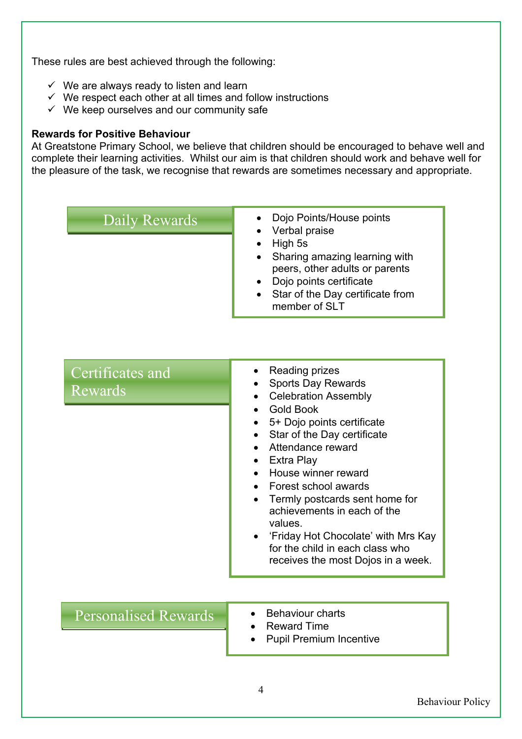These rules are best achieved through the following:

- $\checkmark$  We are always ready to listen and learn
- $\checkmark$  We respect each other at all times and follow instructions
- $\checkmark$  We keep ourselves and our community safe

#### **Rewards for Positive Behaviour**

At Greatstone Primary School, we believe that children should be encouraged to behave well and complete their learning activities. Whilst our aim is that children should work and behave well for the pleasure of the task, we recognise that rewards are sometimes necessary and appropriate.

- Daily Rewards Dojo Points/House points
	- Verbal praise
	- High 5s
	- Sharing amazing learning with peers, other adults or parents
	- Dojo points certificate
	- Star of the Day certificate from member of SLT

# Certificates and Rewards

# • Reading prizes

- Sports Day Rewards
- Celebration Assembly
- Gold Book
- 5+ Dojo points certificate
- Star of the Day certificate
- Attendance reward
- Extra Play
- House winner reward
- Forest school awards
- Termly postcards sent home for achievements in each of the values.
- 'Friday Hot Chocolate' with Mrs Kay for the child in each class who receives the most Dojos in a week.

# Personalised Rewards • Behaviour charts

- 
- Reward Time
- Pupil Premium Incentive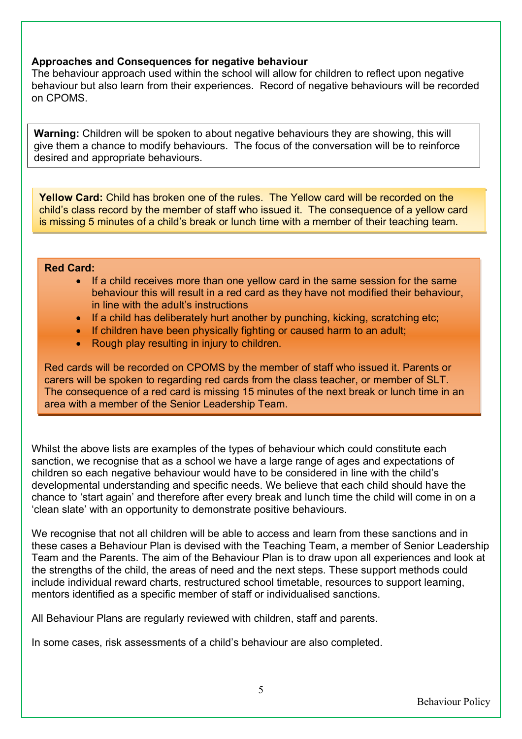#### **Approaches and Consequences for negative behaviour**

The behaviour approach used within the school will allow for children to reflect upon negative behaviour but also learn from their experiences. Record of negative behaviours will be recorded on CPOMS.

**Warning:** Children will be spoken to about negative behaviours they are showing, this will give them a chance to modify behaviours. The focus of the conversation will be to reinforce desired and appropriate behaviours.

**Yellow Card:** Child has broken one of the rules. The Yellow card will be recorded on the child's class record by the member of staff who issued it. The consequence of a yellow card is missing 5 minutes of a child's break or lunch time with a member of their teaching team.

#### **Red Card:**

- If a child receives more than one yellow card in the same session for the same behaviour this will result in a red card as they have not modified their behaviour, in line with the adult's instructions
- If a child has deliberately hurt another by punching, kicking, scratching etc;
- If children have been physically fighting or caused harm to an adult;
- Rough play resulting in injury to children.

Red cards will be recorded on CPOMS by the member of staff who issued it. Parents or carers will be spoken to regarding red cards from the class teacher, or member of SLT. The consequence of a red card is missing 15 minutes of the next break or lunch time in an area with a member of the Senior Leadership Team.

Whilst the above lists are examples of the types of behaviour which could constitute each sanction, we recognise that as a school we have a large range of ages and expectations of children so each negative behaviour would have to be considered in line with the child's developmental understanding and specific needs. We believe that each child should have the chance to 'start again' and therefore after every break and lunch time the child will come in on a 'clean slate' with an opportunity to demonstrate positive behaviours.

We recognise that not all children will be able to access and learn from these sanctions and in these cases a Behaviour Plan is devised with the Teaching Team, a member of Senior Leadership Team and the Parents. The aim of the Behaviour Plan is to draw upon all experiences and look at the strengths of the child, the areas of need and the next steps. These support methods could include individual reward charts, restructured school timetable, resources to support learning, mentors identified as a specific member of staff or individualised sanctions.

All Behaviour Plans are regularly reviewed with children, staff and parents.

In some cases, risk assessments of a child's behaviour are also completed.